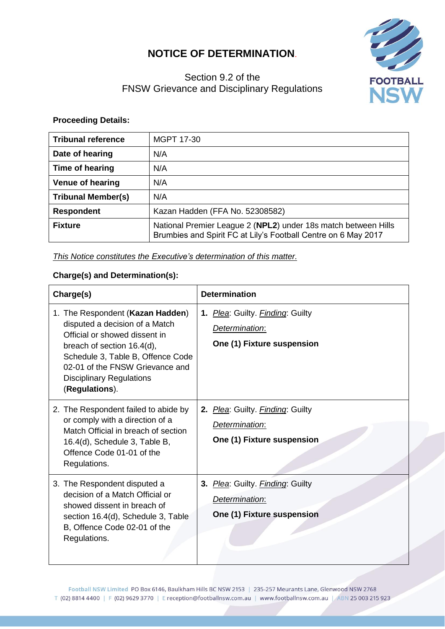# **NOTICE OF DETERMINATION**.

# Section 9.2 of the FNSW Grievance and Disciplinary Regulations



### **Proceeding Details:**

| <b>Tribunal reference</b> | MGPT 17-30                                                                                                                       |
|---------------------------|----------------------------------------------------------------------------------------------------------------------------------|
| Date of hearing           | N/A                                                                                                                              |
| Time of hearing           | N/A                                                                                                                              |
| <b>Venue of hearing</b>   | N/A                                                                                                                              |
| <b>Tribunal Member(s)</b> | N/A                                                                                                                              |
| <b>Respondent</b>         | Kazan Hadden (FFA No. 52308582)                                                                                                  |
| <b>Fixture</b>            | National Premier League 2 (NPL2) under 18s match between Hills<br>Brumbies and Spirit FC at Lily's Football Centre on 6 May 2017 |

#### *This Notice constitutes the Executive's determination of this matter.*

## **Charge(s) and Determination(s):**

| Charge(s)                                                                                                                                                                                                                                                      | <b>Determination</b>                                                             |
|----------------------------------------------------------------------------------------------------------------------------------------------------------------------------------------------------------------------------------------------------------------|----------------------------------------------------------------------------------|
| 1. The Respondent (Kazan Hadden)<br>disputed a decision of a Match<br>Official or showed dissent in<br>breach of section 16.4(d),<br>Schedule 3, Table B, Offence Code<br>02-01 of the FNSW Grievance and<br><b>Disciplinary Regulations</b><br>(Regulations). | 1. Plea: Guilty. Finding: Guilty<br>Determination:<br>One (1) Fixture suspension |
| 2. The Respondent failed to abide by<br>or comply with a direction of a<br>Match Official in breach of section<br>16.4(d), Schedule 3, Table B,<br>Offence Code 01-01 of the<br>Regulations.                                                                   | 2. Plea: Guilty. Finding: Guilty<br>Determination:<br>One (1) Fixture suspension |
| 3. The Respondent disputed a<br>decision of a Match Official or<br>showed dissent in breach of<br>section 16.4(d), Schedule 3, Table<br>B, Offence Code 02-01 of the<br>Regulations.                                                                           | 3. Plea: Guilty. Finding: Guilty<br>Determination:<br>One (1) Fixture suspension |